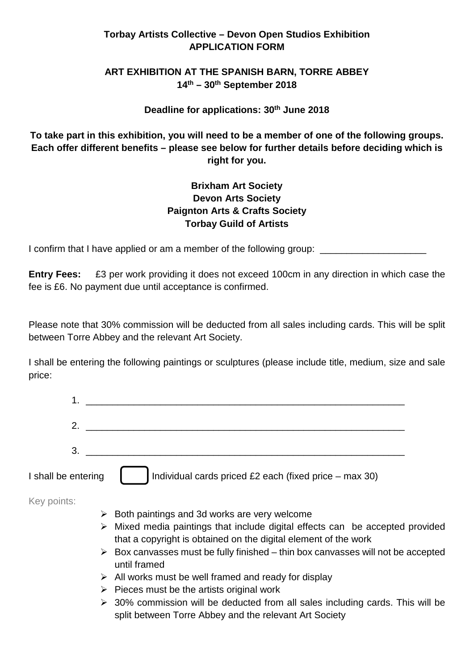# **Torbay Artists Collective – Devon Open Studios Exhibition APPLICATION FORM**

# **ART EXHIBITION AT THE SPANISH BARN, TORRE ABBEY 14th – 30th September 2018**

## **Deadline for applications: 30th June 2018**

**To take part in this exhibition, you will need to be a member of one of the following groups. Each offer different benefits – please see below for further details before deciding which is right for you.** 

# **Brixham Art Society Devon Arts Society Paignton Arts & Crafts Society Torbay Guild of Artists**

I confirm that I have applied or am a member of the following group:

**Entry Fees:** £3 per work providing it does not exceed 100cm in any direction in which case the fee is £6. No payment due until acceptance is confirmed.

Please note that 30% commission will be deducted from all sales including cards. This will be split between Torre Abbey and the relevant Art Society.

I shall be entering the following paintings or sculptures (please include title, medium, size and sale price:

| 3                   |                                                        |
|---------------------|--------------------------------------------------------|
| I shall be entering | Individual cards priced £2 each (fixed price – max 30) |

Key points:

- $\triangleright$  Both paintings and 3d works are very welcome
- $\triangleright$  Mixed media paintings that include digital effects can be accepted provided that a copyright is obtained on the digital element of the work
- $\triangleright$  Box canvasses must be fully finished thin box canvasses will not be accepted until framed
- $\triangleright$  All works must be well framed and ready for display
- $\triangleright$  Pieces must be the artists original work
- $\geq$  30% commission will be deducted from all sales including cards. This will be split between Torre Abbey and the relevant Art Society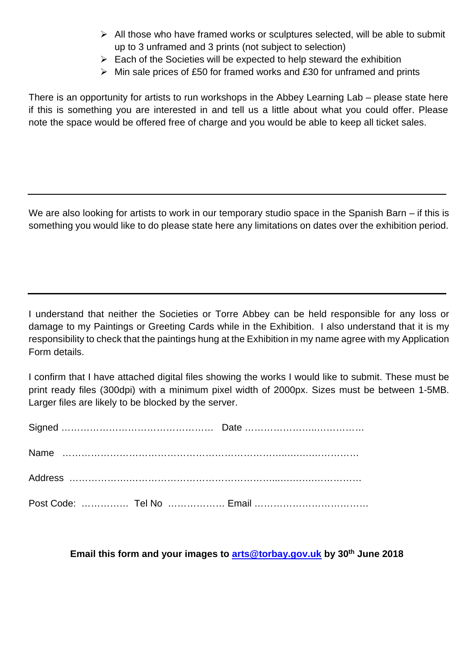- $\triangleright$  All those who have framed works or sculptures selected, will be able to submit up to 3 unframed and 3 prints (not subject to selection)
- $\triangleright$  Each of the Societies will be expected to help steward the exhibition
- $\triangleright$  Min sale prices of £50 for framed works and £30 for unframed and prints

There is an opportunity for artists to run workshops in the Abbey Learning Lab – please state here if this is something you are interested in and tell us a little about what you could offer. Please note the space would be offered free of charge and you would be able to keep all ticket sales.

We are also looking for artists to work in our temporary studio space in the Spanish Barn – if this is something you would like to do please state here any limitations on dates over the exhibition period.

I understand that neither the Societies or Torre Abbey can be held responsible for any loss or damage to my Paintings or Greeting Cards while in the Exhibition. I also understand that it is my responsibility to check that the paintings hung at the Exhibition in my name agree with my Application Form details.

I confirm that I have attached digital files showing the works I would like to submit. These must be print ready files (300dpi) with a minimum pixel width of 2000px. Sizes must be between 1-5MB. Larger files are likely to be blocked by the server.

**Email this form and your images to [arts@torbay.gov.uk](mailto:arts@torbay.gov.uk) by 30th June 2018**